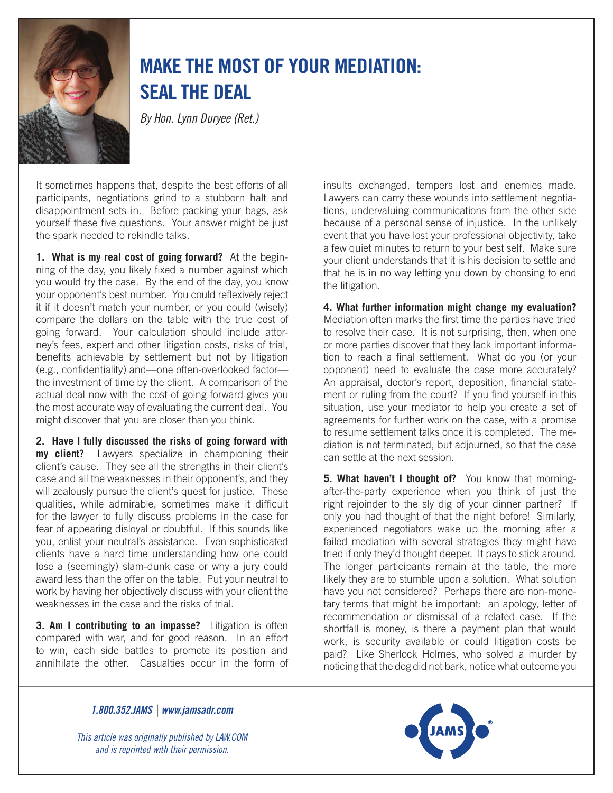

## Make the Most of Your Mediation: Seal the Deal

*By Hon. Lynn Duryee (Ret.)*

It sometimes happens that, despite the best efforts of all participants, negotiations grind to a stubborn halt and disappointment sets in. Before packing your bags, ask yourself these five questions. Your answer might be just the spark needed to rekindle talks.

**1. What is my real cost of going forward?** At the beginning of the day, you likely fixed a number against which you would try the case. By the end of the day, you know your opponent's best number. You could reflexively reject it if it doesn't match your number, or you could (wisely) compare the dollars on the table with the true cost of going forward. Your calculation should include attorney's fees, expert and other litigation costs, risks of trial, benefits achievable by settlement but not by litigation (e.g., confidentiality) and—one often-overlooked factor the investment of time by the client. A comparison of the actual deal now with the cost of going forward gives you the most accurate way of evaluating the current deal. You might discover that you are closer than you think.

**2. Have I fully discussed the risks of going forward with my client?** Lawyers specialize in championing their client's cause. They see all the strengths in their client's case and all the weaknesses in their opponent's, and they will zealously pursue the client's quest for justice. These qualities, while admirable, sometimes make it difficult for the lawyer to fully discuss problems in the case for fear of appearing disloyal or doubtful. If this sounds like you, enlist your neutral's assistance. Even sophisticated clients have a hard time understanding how one could lose a (seemingly) slam-dunk case or why a jury could award less than the offer on the table. Put your neutral to work by having her objectively discuss with your client the weaknesses in the case and the risks of trial.

**3. Am I contributing to an impasse?** Litigation is often compared with war, and for good reason. In an effort to win, each side battles to promote its position and annihilate the other. Casualties occur in the form of

insults exchanged, tempers lost and enemies made. Lawyers can carry these wounds into settlement negotiations, undervaluing communications from the other side because of a personal sense of injustice. In the unlikely event that you have lost your professional objectivity, take a few quiet minutes to return to your best self. Make sure your client understands that it is his decision to settle and that he is in no way letting you down by choosing to end the litigation.

**4. What further information might change my evaluation?**  Mediation often marks the first time the parties have tried to resolve their case. It is not surprising, then, when one or more parties discover that they lack important information to reach a final settlement. What do you (or your opponent) need to evaluate the case more accurately? An appraisal, doctor's report, deposition, financial statement or ruling from the court? If you find yourself in this situation, use your mediator to help you create a set of agreements for further work on the case, with a promise to resume settlement talks once it is completed. The mediation is not terminated, but adjourned, so that the case can settle at the next session.

**5. What haven't I thought of?** You know that morningafter-the-party experience when you think of just the right rejoinder to the sly dig of your dinner partner? If only you had thought of that the night before! Similarly, experienced negotiators wake up the morning after a failed mediation with several strategies they might have tried if only they'd thought deeper. It pays to stick around. The longer participants remain at the table, the more likely they are to stumble upon a solution. What solution have you not considered? Perhaps there are non-monetary terms that might be important: an apology, letter of recommendation or dismissal of a related case. If the shortfall is money, is there a payment plan that would work, is security available or could litigation costs be paid? Like Sherlock Holmes, who solved a murder by noticing that the dog did not bark, notice what outcome you

*1.800.352.JAMS | www.jamsadr.com*

*This article was originally published by LAW.COM and is reprinted with their permission.*